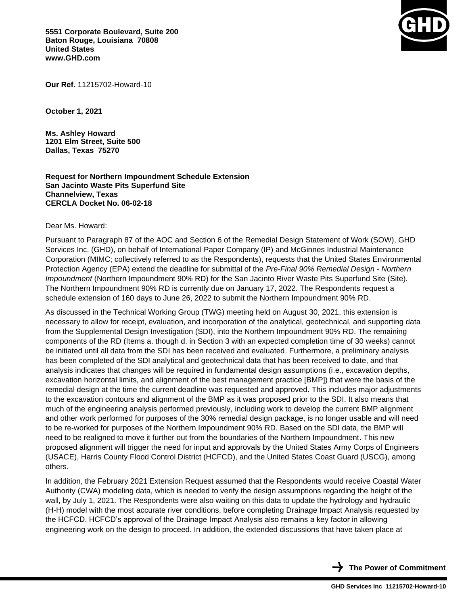**5551 Corporate Boulevard, Suite 200 Baton Rouge, Louisiana 70808 United States [www.GHD.com](http://www.ghd.com/)**



**Our Ref.** 11215702-Howard-10

**October 1, 2021**

**Ms. Ashley Howard 1201 Elm Street, Suite 500 Dallas, Texas 75270**

#### **Request for Northern Impoundment Schedule Extension San Jacinto Waste Pits Superfund Site Channelview, Texas CERCLA Docket No. 06-02-18**

Dear Ms. Howard:

Pursuant to Paragraph 87 of the AOC and Section 6 of the Remedial Design Statement of Work (SOW), GHD Services Inc. (GHD), on behalf of International Paper Company (IP) and McGinnes Industrial Maintenance Corporation (MIMC; collectively referred to as the Respondents), requests that the United States Environmental Protection Agency (EPA) extend the deadline for submittal of the *Pre-Final 90% Remedial Design - Northern Impoundment* (Northern Impoundment 90% RD) for the San Jacinto River Waste Pits Superfund Site (Site). The Northern Impoundment 90% RD is currently due on January 17, 2022. The Respondents request a schedule extension of 160 days to June 26, 2022 to submit the Northern Impoundment 90% RD.

As discussed in the Technical Working Group (TWG) meeting held on August 30, 2021, this extension is necessary to allow for receipt, evaluation, and incorporation of the analytical, geotechnical, and supporting data from the Supplemental Design Investigation (SDI), into the Northern Impoundment 90% RD. The remaining components of the RD (Items a. though d. in Section 3 with an expected completion time of 30 weeks) cannot be initiated until all data from the SDI has been received and evaluated. Furthermore, a preliminary analysis has been completed of the SDI analytical and geotechnical data that has been received to date, and that analysis indicates that changes will be required in fundamental design assumptions (i.e., excavation depths, excavation horizontal limits, and alignment of the best management practice [BMP]) that were the basis of the remedial design at the time the current deadline was requested and approved. This includes major adjustments to the excavation contours and alignment of the BMP as it was proposed prior to the SDI. It also means that much of the engineering analysis performed previously, including work to develop the current BMP alignment and other work performed for purposes of the 30% remedial design package, is no longer usable and will need to be re-worked for purposes of the Northern Impoundment 90% RD. Based on the SDI data, the BMP will need to be realigned to move it further out from the boundaries of the Northern Impoundment. This new proposed alignment will trigger the need for input and approvals by the United States Army Corps of Engineers (USACE), Harris County Flood Control District (HCFCD), and the United States Coast Guard (USCG), among others.

In addition, the February 2021 Extension Request assumed that the Respondents would receive Coastal Water Authority (CWA) modeling data, which is needed to verify the design assumptions regarding the height of the wall, by July 1, 2021. The Respondents were also waiting on this data to update the hydrology and hydraulic (H-H) model with the most accurate river conditions, before completing Drainage Impact Analysis requested by the HCFCD. HCFCD's approval of the Drainage Impact Analysis also remains a key factor in allowing engineering work on the design to proceed. In addition, the extended discussions that have taken place at

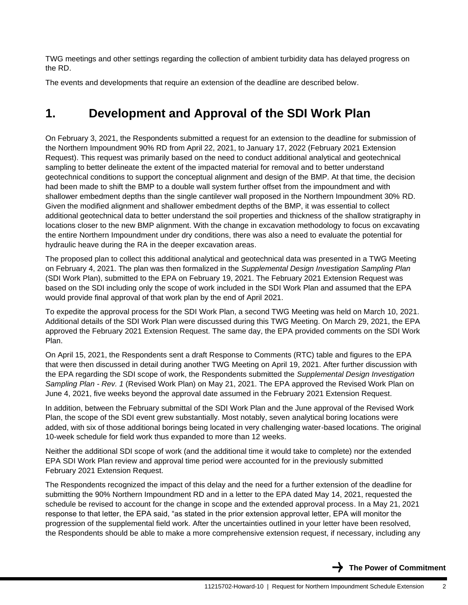TWG meetings and other settings regarding the collection of ambient turbidity data has delayed progress on the RD.

The events and developments that require an extension of the deadline are described below.

# **1. Development and Approval of the SDI Work Plan**

On February 3, 2021, the Respondents submitted a request for an extension to the deadline for submission of the Northern Impoundment 90% RD from April 22, 2021, to January 17, 2022 (February 2021 Extension Request). This request was primarily based on the need to conduct additional analytical and geotechnical sampling to better delineate the extent of the impacted material for removal and to better understand geotechnical conditions to support the conceptual alignment and design of the BMP. At that time, the decision had been made to shift the BMP to a double wall system further offset from the impoundment and with shallower embedment depths than the single cantilever wall proposed in the Northern Impoundment 30% RD. Given the modified alignment and shallower embedment depths of the BMP, it was essential to collect additional geotechnical data to better understand the soil properties and thickness of the shallow stratigraphy in locations closer to the new BMP alignment. With the change in excavation methodology to focus on excavating the entire Northern Impoundment under dry conditions, there was also a need to evaluate the potential for hydraulic heave during the RA in the deeper excavation areas.

The proposed plan to collect this additional analytical and geotechnical data was presented in a TWG Meeting on February 4, 2021. The plan was then formalized in the *Supplemental Design Investigation Sampling Plan* (SDI Work Plan), submitted to the EPA on February 19, 2021. The February 2021 Extension Request was based on the SDI including only the scope of work included in the SDI Work Plan and assumed that the EPA would provide final approval of that work plan by the end of April 2021.

To expedite the approval process for the SDI Work Plan, a second TWG Meeting was held on March 10, 2021. Additional details of the SDI Work Plan were discussed during this TWG Meeting. On March 29, 2021, the EPA approved the February 2021 Extension Request. The same day, the EPA provided comments on the SDI Work Plan.

On April 15, 2021, the Respondents sent a draft Response to Comments (RTC) table and figures to the EPA that were then discussed in detail during another TWG Meeting on April 19, 2021. After further discussion with the EPA regarding the SDI scope of work, the Respondents submitted the *Supplemental Design Investigation Sampling Plan - Rev. 1* (Revised Work Plan) on May 21, 2021. The EPA approved the Revised Work Plan on June 4, 2021, five weeks beyond the approval date assumed in the February 2021 Extension Request.

In addition, between the February submittal of the SDI Work Plan and the June approval of the Revised Work Plan, the scope of the SDI event grew substantially. Most notably, seven analytical boring locations were added, with six of those additional borings being located in very challenging water-based locations. The original 10-week schedule for field work thus expanded to more than 12 weeks.

Neither the additional SDI scope of work (and the additional time it would take to complete) nor the extended EPA SDI Work Plan review and approval time period were accounted for in the previously submitted February 2021 Extension Request.

The Respondents recognized the impact of this delay and the need for a further extension of the deadline for submitting the 90% Northern Impoundment RD and in a letter to the EPA dated May 14, 2021, requested the schedule be revised to account for the change in scope and the extended approval process. In a May 21, 2021 response to that letter, the EPA said, "as stated in the prior extension approval letter, EPA will monitor the progression of the supplemental field work. After the uncertainties outlined in your letter have been resolved, the Respondents should be able to make a more comprehensive extension request, if necessary, including any

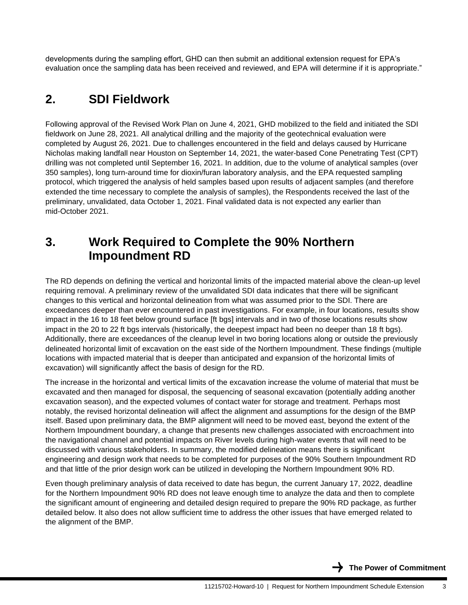developments during the sampling effort, GHD can then submit an additional extension request for EPA's evaluation once the sampling data has been received and reviewed, and EPA will determine if it is appropriate."

## **2. SDI Fieldwork**

Following approval of the Revised Work Plan on June 4, 2021, GHD mobilized to the field and initiated the SDI fieldwork on June 28, 2021. All analytical drilling and the majority of the geotechnical evaluation were completed by August 26, 2021. Due to challenges encountered in the field and delays caused by Hurricane Nicholas making landfall near Houston on September 14, 2021, the water-based Cone Penetrating Test (CPT) drilling was not completed until September 16, 2021. In addition, due to the volume of analytical samples (over 350 samples), long turn-around time for dioxin/furan laboratory analysis, and the EPA requested sampling protocol, which triggered the analysis of held samples based upon results of adjacent samples (and therefore extended the time necessary to complete the analysis of samples), the Respondents received the last of the preliminary, unvalidated, data October 1, 2021. Final validated data is not expected any earlier than mid-October 2021.

### **3. Work Required to Complete the 90% Northern Impoundment RD**

The RD depends on defining the vertical and horizontal limits of the impacted material above the clean-up level requiring removal. A preliminary review of the unvalidated SDI data indicates that there will be significant changes to this vertical and horizontal delineation from what was assumed prior to the SDI. There are exceedances deeper than ever encountered in past investigations. For example, in four locations, results show impact in the 16 to 18 feet below ground surface [ft bgs] intervals and in two of those locations results show impact in the 20 to 22 ft bgs intervals (historically, the deepest impact had been no deeper than 18 ft bgs). Additionally, there are exceedances of the cleanup level in two boring locations along or outside the previously delineated horizontal limit of excavation on the east side of the Northern Impoundment. These findings (multiple locations with impacted material that is deeper than anticipated and expansion of the horizontal limits of excavation) will significantly affect the basis of design for the RD.

The increase in the horizontal and vertical limits of the excavation increase the volume of material that must be excavated and then managed for disposal, the sequencing of seasonal excavation (potentially adding another excavation season), and the expected volumes of contact water for storage and treatment. Perhaps most notably, the revised horizontal delineation will affect the alignment and assumptions for the design of the BMP itself. Based upon preliminary data, the BMP alignment will need to be moved east, beyond the extent of the Northern Impoundment boundary, a change that presents new challenges associated with encroachment into the navigational channel and potential impacts on River levels during high-water events that will need to be discussed with various stakeholders. In summary, the modified delineation means there is significant engineering and design work that needs to be completed for purposes of the 90% Southern Impoundment RD and that little of the prior design work can be utilized in developing the Northern Impoundment 90% RD.

Even though preliminary analysis of data received to date has begun, the current January 17, 2022, deadline for the Northern Impoundment 90% RD does not leave enough time to analyze the data and then to complete the significant amount of engineering and detailed design required to prepare the 90% RD package, as further detailed below. It also does not allow sufficient time to address the other issues that have emerged related to the alignment of the BMP.

The Power of Commitment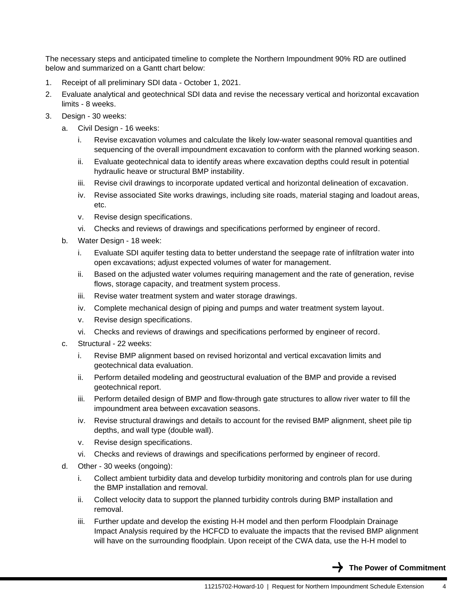The necessary steps and anticipated timeline to complete the Northern Impoundment 90% RD are outlined below and summarized on a Gantt chart below:

- 1. Receipt of all preliminary SDI data October 1, 2021.
- 2. Evaluate analytical and geotechnical SDI data and revise the necessary vertical and horizontal excavation limits - 8 weeks.
- 3. Design 30 weeks:
	- a. Civil Design 16 weeks:
		- i. Revise excavation volumes and calculate the likely low-water seasonal removal quantities and sequencing of the overall impoundment excavation to conform with the planned working season.
		- ii. Evaluate geotechnical data to identify areas where excavation depths could result in potential hydraulic heave or structural BMP instability.
		- iii. Revise civil drawings to incorporate updated vertical and horizontal delineation of excavation.
		- iv. Revise associated Site works drawings, including site roads, material staging and loadout areas, etc.
		- v. Revise design specifications.
		- vi. Checks and reviews of drawings and specifications performed by engineer of record.
	- b. Water Design 18 week:
		- i. Evaluate SDI aquifer testing data to better understand the seepage rate of infiltration water into open excavations; adjust expected volumes of water for management.
		- ii. Based on the adjusted water volumes requiring management and the rate of generation, revise flows, storage capacity, and treatment system process.
		- iii. Revise water treatment system and water storage drawings.
		- iv. Complete mechanical design of piping and pumps and water treatment system layout.
		- v. Revise design specifications.
		- vi. Checks and reviews of drawings and specifications performed by engineer of record.
	- c. Structural 22 weeks:
		- i. Revise BMP alignment based on revised horizontal and vertical excavation limits and geotechnical data evaluation.
		- ii. Perform detailed modeling and geostructural evaluation of the BMP and provide a revised geotechnical report.
		- iii. Perform detailed design of BMP and flow-through gate structures to allow river water to fill the impoundment area between excavation seasons.
		- iv. Revise structural drawings and details to account for the revised BMP alignment, sheet pile tip depths, and wall type (double wall).
		- v. Revise design specifications.
		- vi. Checks and reviews of drawings and specifications performed by engineer of record.
	- d. Other 30 weeks (ongoing):
		- i. Collect ambient turbidity data and develop turbidity monitoring and controls plan for use during the BMP installation and removal.
		- ii. Collect velocity data to support the planned turbidity controls during BMP installation and removal.
		- iii. Further update and develop the existing H-H model and then perform Floodplain Drainage Impact Analysis required by the HCFCD to evaluate the impacts that the revised BMP alignment will have on the surrounding floodplain. Upon receipt of the CWA data, use the H-H model to

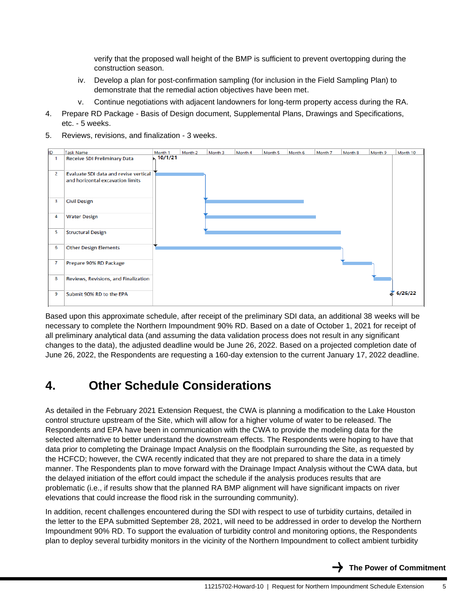verify that the proposed wall height of the BMP is sufficient to prevent overtopping during the construction season.

- iv. Develop a plan for post-confirmation sampling (for inclusion in the Field Sampling Plan) to demonstrate that the remedial action objectives have been met.
- v. Continue negotiations with adjacent landowners for long-term property access during the RA.
- 4. Prepare RD Package Basis of Design document, Supplemental Plans, Drawings and Specifications, etc. - 5 weeks.
- 5. Reviews, revisions, and finalization 3 weeks.



Based upon this approximate schedule, after receipt of the preliminary SDI data, an additional 38 weeks will be necessary to complete the Northern Impoundment 90% RD. Based on a date of October 1, 2021 for receipt of all preliminary analytical data (and assuming the data validation process does not result in any significant changes to the data), the adjusted deadline would be June 26, 2022. Based on a projected completion date of June 26, 2022, the Respondents are requesting a 160-day extension to the current January 17, 2022 deadline.

#### **4. Other Schedule Considerations**

As detailed in the February 2021 Extension Request, the CWA is planning a modification to the Lake Houston control structure upstream of the Site, which will allow for a higher volume of water to be released. The Respondents and EPA have been in communication with the CWA to provide the modeling data for the selected alternative to better understand the downstream effects. The Respondents were hoping to have that data prior to completing the Drainage Impact Analysis on the floodplain surrounding the Site, as requested by the HCFCD; however, the CWA recently indicated that they are not prepared to share the data in a timely manner. The Respondents plan to move forward with the Drainage Impact Analysis without the CWA data, but the delayed initiation of the effort could impact the schedule if the analysis produces results that are problematic (i.e., if results show that the planned RA BMP alignment will have significant impacts on river elevations that could increase the flood risk in the surrounding community).

In addition, recent challenges encountered during the SDI with respect to use of turbidity curtains, detailed in the letter to the EPA submitted September 28, 2021, will need to be addressed in order to develop the Northern Impoundment 90% RD. To support the evaluation of turbidity control and monitoring options, the Respondents plan to deploy several turbidity monitors in the vicinity of the Northern Impoundment to collect ambient turbidity

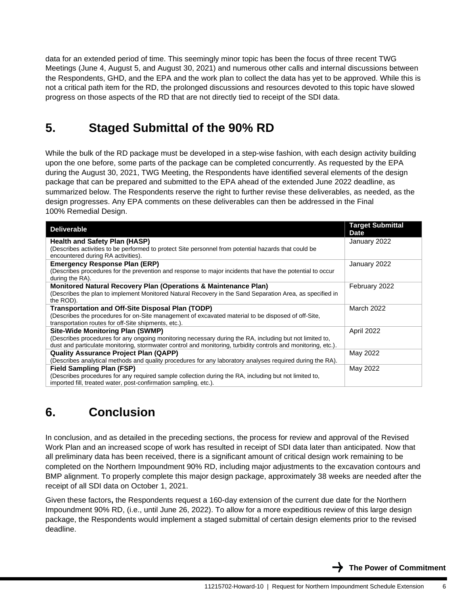data for an extended period of time. This seemingly minor topic has been the focus of three recent TWG Meetings (June 4, August 5, and August 30, 2021) and numerous other calls and internal discussions between the Respondents, GHD, and the EPA and the work plan to collect the data has yet to be approved. While this is not a critical path item for the RD, the prolonged discussions and resources devoted to this topic have slowed progress on those aspects of the RD that are not directly tied to receipt of the SDI data.

## **5. Staged Submittal of the 90% RD**

While the bulk of the RD package must be developed in a step-wise fashion, with each design activity building upon the one before, some parts of the package can be completed concurrently. As requested by the EPA during the August 30, 2021, TWG Meeting, the Respondents have identified several elements of the design package that can be prepared and submitted to the EPA ahead of the extended June 2022 deadline, as summarized below. The Respondents reserve the right to further revise these deliverables, as needed, as the design progresses. Any EPA comments on these deliverables can then be addressed in the Final 100% Remedial Design.

| <b>Deliverable</b>                                                                                                                                                                                                       | <b>Target Submittal</b><br><b>Date</b> |
|--------------------------------------------------------------------------------------------------------------------------------------------------------------------------------------------------------------------------|----------------------------------------|
| <b>Health and Safety Plan (HASP)</b>                                                                                                                                                                                     | January 2022                           |
| (Describes activities to be performed to protect Site personnel from potential hazards that could be<br>encountered during RA activities).                                                                               |                                        |
| Emergency Response Plan (ERP)                                                                                                                                                                                            | January 2022                           |
| (Describes procedures for the prevention and response to major incidents that have the potential to occur<br>during the RA).                                                                                             |                                        |
| <b>Monitored Natural Recovery Plan (Operations &amp; Maintenance Plan)</b>                                                                                                                                               | February 2022                          |
| (Describes the plan to implement Monitored Natural Recovery in the Sand Separation Area, as specified in                                                                                                                 |                                        |
| the ROD).                                                                                                                                                                                                                |                                        |
| Transportation and Off-Site Disposal Plan (TODP)                                                                                                                                                                         | March 2022                             |
| (Describes the procedures for on-Site management of excavated material to be disposed of off-Site,<br>transportation routes for off-Site shipments, etc.).                                                               |                                        |
| Site-Wide Monitoring Plan (SWMP)                                                                                                                                                                                         | April 2022                             |
| (Describes procedures for any ongoing monitoring necessary during the RA, including but not limited to,<br>dust and particulate monitoring, stormwater control and monitoring, turbidity controls and monitoring, etc.). |                                        |
| <b>Quality Assurance Project Plan (QAPP)</b>                                                                                                                                                                             | May 2022                               |
| (Describes analytical methods and quality procedures for any laboratory analyses required during the RA).                                                                                                                |                                        |
| <b>Field Sampling Plan (FSP)</b>                                                                                                                                                                                         | May 2022                               |
| (Describes procedures for any required sample collection during the RA, including but not limited to,<br>imported fill, treated water, post-confirmation sampling, etc.).                                                |                                        |

# **6. Conclusion**

In conclusion, and as detailed in the preceding sections, the process for review and approval of the Revised Work Plan and an increased scope of work has resulted in receipt of SDI data later than anticipated. Now that all preliminary data has been received, there is a significant amount of critical design work remaining to be completed on the Northern Impoundment 90% RD, including major adjustments to the excavation contours and BMP alignment. To properly complete this major design package, approximately 38 weeks are needed after the receipt of all SDI data on October 1, 2021.

Given these factors**,** the Respondents request a 160-day extension of the current due date for the Northern Impoundment 90% RD, (i.e., until June 26, 2022). To allow for a more expeditious review of this large design package, the Respondents would implement a staged submittal of certain design elements prior to the revised deadline.